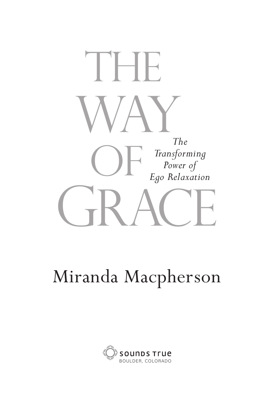

# Miranda Macpherson

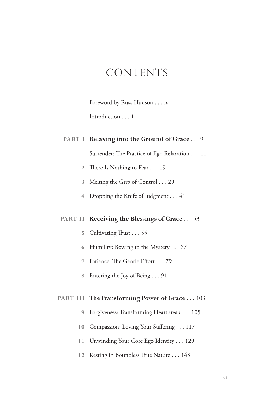# CONTENTS

Foreword by Russ Hudson . . . ix

Introduction . . . 1

#### **PART I Relaxing into the Ground of Grace** . . . 9

- Surrender: The Practice of Ego Relaxation . . . 11
- There Is Nothing to Fear . . . 19
- Melting the Grip of Control . . . 29
- Dropping the Knife of Judgment . . . 41

#### **PART II Receiving the Blessings of Grace** . . . 53

- Cultivating Trust . . . 55
- Humility: Bowing to the Mystery . . . 67
- Patience: The Gentle Effort . . . 79
- Entering the Joy of Being . . . 91

#### **PART III The Transforming Power of Grace** . . . 103

- Forgiveness: Transforming Heartbreak . . . 105
- Compassion: Loving Your Suffering . . . 117
- Unwinding Your Core Ego Identity . . . 129
- Resting in Boundless True Nature . . . 143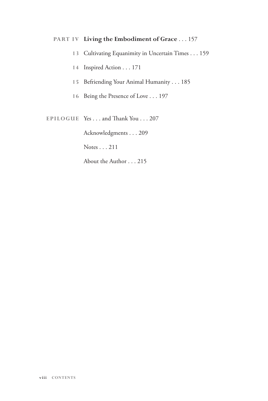#### **PART IV Living the Embodiment of Grace** . . . 157

- **13** Cultivating Equanimity in Uncertain Times . . . 159
- **14** Inspired Action . . . 171
- **15** Befriending Your Animal Humanity . . . 185
- **16** Being the Presence of Love . . . 197

**EPILOGUE** Yes . . . and Thank You . . . 207

Acknowledgments . . . 209

Notes . . . 211

About the Author . . . 215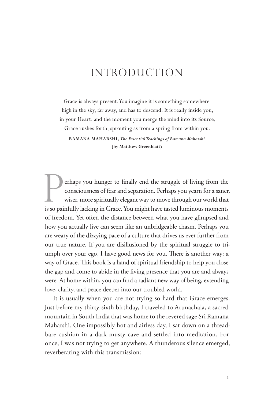# INTRODUCTION

Grace is always present. You imagine it is something somewhere high in the sky, far away, and has to descend. It is really inside you, in your Heart, and the moment you merge the mind into its Source, Grace rushes forth, sprouting as from a spring from within you.

**RAMANA MAHARSHI,** *The Essential Teachings of Ramana Maharshi* **(by Matthew Greenblatt)**

erhaps you hunger to finally end the struggle of living from the consciousness of fear and separation. Perhaps you yearn for a saner, wiser, more spiritually elegant way to move through our world that is so painfully lecki consciousness of fear and separation. Perhaps you yearn for a saner, wiser, more spiritually elegant way to move through our world that is so painfully lacking in Grace. You might have tasted luminous moments of freedom. Yet often the distance between what you have glimpsed and how you actually live can seem like an unbridgeable chasm. Perhaps you are weary of the dizzying pace of a culture that drives us ever further from our true nature. If you are disillusioned by the spiritual struggle to triumph over your ego, I have good news for you. There is another way: a way of Grace. This book is a hand of spiritual friendship to help you close the gap and come to abide in the living presence that you are and always were. At home within, you can find a radiant new way of being, extending love, clarity, and peace deeper into our troubled world.

It is usually when you are not trying so hard that Grace emerges. Just before my thirty-sixth birthday, I traveled to Arunachala, a sacred mountain in South India that was home to the revered sage Sri Ramana Maharshi. One impossibly hot and airless day, I sat down on a threadbare cushion in a dark musty cave and settled into meditation. For once, I was not trying to get anywhere. A thunderous silence emerged, reverberating with this transmission: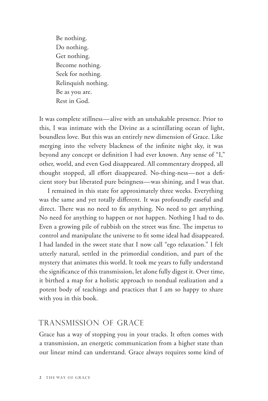Be nothing. Do nothing. Get nothing. Become nothing. Seek for nothing. Relinquish nothing. Be as you are. Rest in God.

It was complete stillness—alive with an unshakable presence. Prior to this, I was intimate with the Divine as a scintillating ocean of light, boundless love. But this was an entirely new dimension of Grace. Like merging into the velvety blackness of the infinite night sky, it was beyond any concept or definition I had ever known. Any sense of "I," other, world, and even God disappeared. All commentary dropped, all thought stopped, all effort disappeared. No-thing-ness—not a deficient story but liberated pure beingness—was shining, and I was that.

I remained in this state for approximately three weeks. Everything was the same and yet totally different. It was profoundly easeful and direct. There was no need to fix anything. No need to get anything. No need for anything to happen or not happen. Nothing I had to do. Even a growing pile of rubbish on the street was fine. The impetus to control and manipulate the universe to fit some ideal had disappeared. I had landed in the sweet state that I now call "ego relaxation." I felt utterly natural, settled in the primordial condition, and part of the mystery that animates this world. It took me years to fully understand the significance of this transmission, let alone fully digest it. Over time, it birthed a map for a holistic approach to nondual realization and a potent body of teachings and practices that I am so happy to share with you in this book.

### Transmission of Grace

Grace has a way of stopping you in your tracks. It often comes with a transmission, an energetic communication from a higher state than our linear mind can understand. Grace always requires some kind of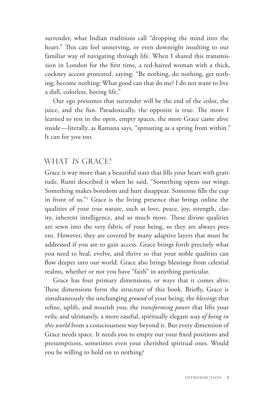surrender, what Indian traditions call "dropping the mind into the heart." This can feel unnerving, or even downright insulting to our familiar way of navigating through life. When I shared this transmission in London for the first time, a red-haired woman with a thick, cockney accent protested, saying: "Be nothing, do nothing, get nothing, become nothing: What good can that do me? I do not want to live a dull, colorless, boring life."

Our ego presumes that surrender will be the end of the color, the juice, and the fun. Paradoxically, the opposite is true. The more I learned to rest in the open, empty spaces, the more Grace came alive inside—literally, as Ramana says, "sprouting as a spring from within." It can for you too.

#### WHAT IS GRACE?

Grace is way more than a beautiful state that fills your heart with gratitude. Rumi described it when he said, "Something opens our wings. Something makes boredom and hurt disappear. Someone fills the cup in front of us."1 Grace is the living presence that brings online the qualities of your true nature, such as love, peace, joy, strength, clarity, inherent intelligence, and so much more. These divine qualities are sewn into the very fabric of your being, so they are always present. However, they are covered by many adaptive layers that must be addressed if you are to gain access. Grace brings forth precisely what you need to heal, evolve, and thrive so that your noble qualities can flow deeper into our world. Grace also brings blessings from celestial realms, whether or not you have "faith" in anything particular.

Grace has four primary dimensions, or ways that it comes alive. These dimensions form the structure of this book. Briefly, Grace is simultaneously the unchanging *ground* of your being; the *blessings* that refine, uplift, and nourish you; the *transforming power* that lifts your veils; and ultimately, a more easeful, spiritually elegant *way of being in this world* from a consciousness way beyond it. But every dimension of Grace needs space. It needs you to empty out your fixed positions and presumptions, sometimes even your cherished spiritual ones. Would you be willing to hold on to nothing?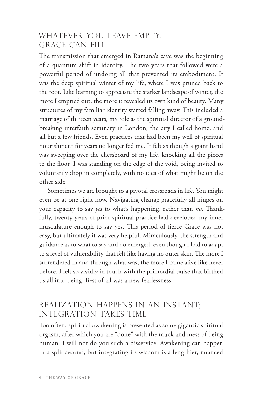# Whatever You Leave Empty, Grace Can Fill

The transmission that emerged in Ramana's cave was the beginning of a quantum shift in identity. The two years that followed were a powerful period of undoing all that prevented its embodiment. It was the deep spiritual winter of my life, where I was pruned back to the root. Like learning to appreciate the starker landscape of winter, the more I emptied out, the more it revealed its own kind of beauty. Many structures of my familiar identity started falling away. This included a marriage of thirteen years, my role as the spiritual director of a groundbreaking interfaith seminary in London, the city I called home, and all but a few friends. Even practices that had been my well of spiritual nourishment for years no longer fed me. It felt as though a giant hand was sweeping over the chessboard of my life, knocking all the pieces to the floor. I was standing on the edge of the void, being invited to voluntarily drop in completely, with no idea of what might be on the other side.

Sometimes we are brought to a pivotal crossroads in life. You might even be at one right now. Navigating change gracefully all hinges on your capacity to say *yes* to what's happening, rather than *no*. Thankfully, twenty years of prior spiritual practice had developed my inner musculature enough to say yes. This period of fierce Grace was not easy, but ultimately it was very helpful. Miraculously, the strength and guidance as to what to say and do emerged, even though I had to adapt to a level of vulnerability that felt like having no outer skin. The more I surrendered in and through what was, the more I came alive like never before. I felt so vividly in touch with the primordial pulse that birthed us all into being. Best of all was a new fearlessness.

# Realization Happens in an Instant; Integration Takes Time

Too often, spiritual awakening is presented as some gigantic spiritual orgasm, after which you are "done" with the muck and mess of being human. I will not do you such a disservice. Awakening can happen in a split second, but integrating its wisdom is a lengthier, nuanced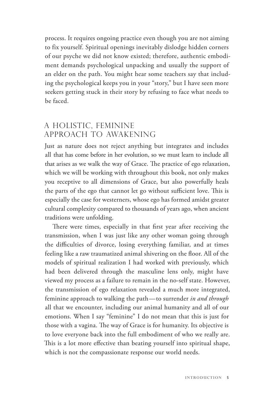process. It requires ongoing practice even though you are not aiming to fix yourself. Spiritual openings inevitably dislodge hidden corners of our psyche we did not know existed; therefore, authentic embodiment demands psychological unpacking and usually the support of an elder on the path. You might hear some teachers say that including the psychological keeps you in your "story," but I have seen more seekers getting stuck in their story by refusing to face what needs to be faced.

# A Holistic, Feminine Approach to Awakening

Just as nature does not reject anything but integrates and includes all that has come before in her evolution, so we must learn to include all that arises as we walk the way of Grace. The practice of ego relaxation, which we will be working with throughout this book, not only makes you receptive to all dimensions of Grace, but also powerfully heals the parts of the ego that cannot let go without sufficient love. This is especially the case for westerners, whose ego has formed amidst greater cultural complexity compared to thousands of years ago, when ancient traditions were unfolding.

There were times, especially in that first year after receiving the transmission, when I was just like any other woman going through the difficulties of divorce, losing everything familiar, and at times feeling like a raw traumatized animal shivering on the floor. All of the models of spiritual realization I had worked with previously, which had been delivered through the masculine lens only, might have viewed my process as a failure to remain in the no-self state. However, the transmission of ego relaxation revealed a much more integrated, feminine approach to walking the path—to surrender *in and through* all that we encounter, including our animal humanity and all of our emotions. When I say "feminine" I do not mean that this is just for those with a vagina. The way of Grace is for humanity. Its objective is to love everyone back into the full embodiment of who we really are. This is a lot more effective than beating yourself into spiritual shape, which is not the compassionate response our world needs.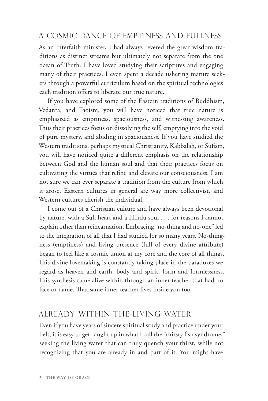## A Cosmic Dance of Emptiness and Fullness

As an interfaith minister, I had always revered the great wisdom traditions as distinct streams but ultimately not separate from the one ocean of Truth. I have loved studying their scriptures and engaging many of their practices. I even spent a decade ushering mature seekers through a powerful curriculum based on the spiritual technologies each tradition offers to liberate our true nature.

If you have explored some of the Eastern traditions of Buddhism, Vedanta, and Taoism, you will have noticed that true nature is emphasized as emptiness, spaciousness, and witnessing awareness. Thus their practices focus on dissolving the self, emptying into the void of pure mystery, and abiding in spaciousness. If you have studied the Western traditions, perhaps mystical Christianity, Kabbalah, or Sufism, you will have noticed quite a different emphasis on the relationship between God and the human soul and that their practices focus on cultivating the virtues that refine and elevate our consciousness. I am not sure we can ever separate a tradition from the culture from which it arose. Eastern cultures in general are way more collectivist, and Western cultures cherish the individual.

I come out of a Christian culture and have always been devotional by nature, with a Sufi heart and a Hindu soul . . . for reasons I cannot explain other than reincarnation. Embracing "no-thing and no-one" led to the integration of all that I had studied for so many years. No-thingness (emptiness) and living presence (full of every divine attribute) began to feel like a cosmic union at my core and the core of all things. This divine lovemaking is constantly taking place in the paradoxes we regard as heaven and earth, body and spirit, form and formlessness. This synthesis came alive within through an inner teacher that had no face or name. That same inner teacher lives inside you too.

## Already Within the Living Water

Even if you have years of sincere spiritual study and practice under your belt, it is easy to get caught up in what I call the "thirsty fish syndrome," seeking the living water that can truly quench your thirst, while not recognizing that you are already in and part of it. You might have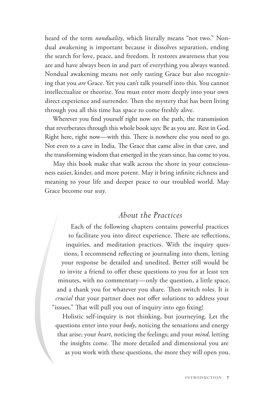heard of the term *nonduality*, which literally means "not two." Nondual awakening is important because it dissolves separation, ending the search for love, peace, and freedom. It restores awareness that you are and have always been in and part of everything you always wanted. Nondual awakening means not only tasting Grace but also recognizing that you *are* Grace. Yet you can't talk yourself into this. You cannot intellectualize or theorize. You must enter more deeply into your own direct experience and surrender. Then the mystery that has been living through you all this time has space to come freshly alive.

Wherever you find yourself right now on the path, the transmission that reverberates through this whole book says: Be as you are. Rest in God. Right here, right now—with this. There is nowhere else you need to go. Not even to a cave in India. The Grace that came alive in that cave, and the transforming wisdom that emerged in the years since, has come to you.

May this book make that walk across the shore in your consciousness easier, kinder, and more potent. May it bring infinite richness and meaning to your life and deeper peace to our troubled world. May Grace become our *way*.

#### *About the Practices*

Each of the following chapters contains powerful practices to facilitate you into direct experience. There are reflections, inquiries, and meditation practices. With the inquiry questions, I recommend reflecting or journaling into them, letting your response be detailed and unedited. Better still would be to invite a friend to offer these questions to you for at least ten minutes, with no commentary—only the question, a little space, and a thank you for whatever you share. Then switch roles. It is *crucial* that your partner does not offer solutions to address your "issues." That will pull you out of inquiry into ego fixing!

Holistic self-inquiry is not thinking, but journeying. Let the questions enter into your *body*, noticing the sensations and energy that arise; your *heart*, noticing the feelings; and your *mind*, letting the insights come. The more detailed and dimensional you are as you work with these questions, the more they will open you.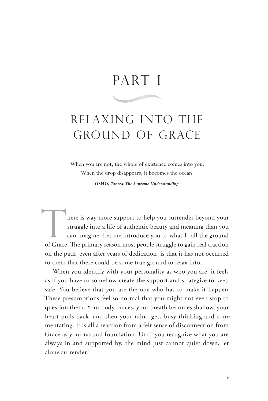# PART I

# RELAXING INTO THE GROUND OF GRACE

When you are not, the whole of existence comes into you. When the drop disappears, it becomes the ocean. **OSHO,** *Tantra: The Supreme Understanding*

here is way more support to help you surrender beyond your struggle into a life of authentic beauty and meaning than you can imagine. Let me introduce you to what I call the ground of Grace. The primary reason most people struggle to gain real traction on the path, even after years of dedication, is that it has not occurred to them that there could be some true ground to relax into.

When you identify with your personality as who you are, it feels as if you have to somehow create the support and strategize to keep safe. You believe that you are the one who has to make it happen. These presumptions feel so normal that you might not even stop to question them. Your body braces, your breath becomes shallow, your heart pulls back, and then your mind gets busy thinking and commentating. It is all a reaction from a felt sense of disconnection from Grace as your natural foundation. Until you recognize what you are always in and supported by, the mind just cannot quiet down, let alone surrender.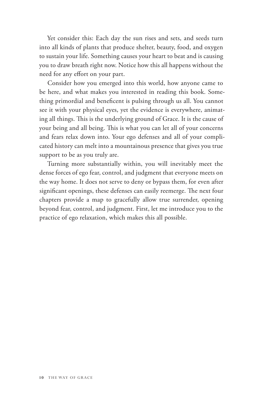Yet consider this: Each day the sun rises and sets, and seeds turn into all kinds of plants that produce shelter, beauty, food, and oxygen to sustain your life. Something causes your heart to beat and is causing you to draw breath right now. Notice how this all happens without the need for any effort on your part.

Consider how you emerged into this world, how anyone came to be here, and what makes you interested in reading this book. Something primordial and beneficent is pulsing through us all. You cannot see it with your physical eyes, yet the evidence is everywhere, animating all things. This is the underlying ground of Grace. It is the cause of your being and all being. This is what you can let all of your concerns and fears relax down into. Your ego defenses and all of your complicated history can melt into a mountainous presence that gives you true support to be as you truly are.

Turning more substantially within, you will inevitably meet the dense forces of ego fear, control, and judgment that everyone meets on the way home. It does not serve to deny or bypass them, for even after significant openings, these defenses can easily reemerge. The next four chapters provide a map to gracefully allow true surrender, opening beyond fear, control, and judgment. First, let me introduce you to the practice of ego relaxation, which makes this all possible.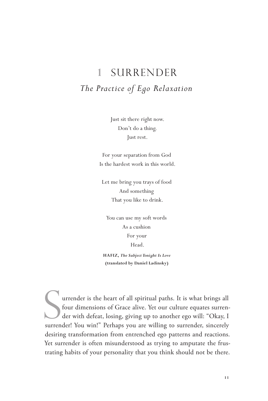# **1** SURRENDER *The Practice of Ego Relaxation*

Just sit there right now. Don't do a thing. Just rest.

For your separation from God Is the hardest work in this world.

Let me bring you trays of food And something That you like to drink.

You can use my soft words As a cushion For your Head.

**HAFIZ,** *The Subject Tonight Is Love* **(translated by Daniel Ladinsky)**

urrender is the heart of all spiritual paths. It is what brings all four dimensions of Grace alive. Yet our culture equates surrender with defeat, losing, giving up to another ego will: "Okay, I surrender! You win!" Perhaps you are willing to surrender, sincerely desiring transformation from entrenched ego patterns and reactions. Yet surrender is often misunderstood as trying to amputate the frustrating habits of your personality that you think should not be there.